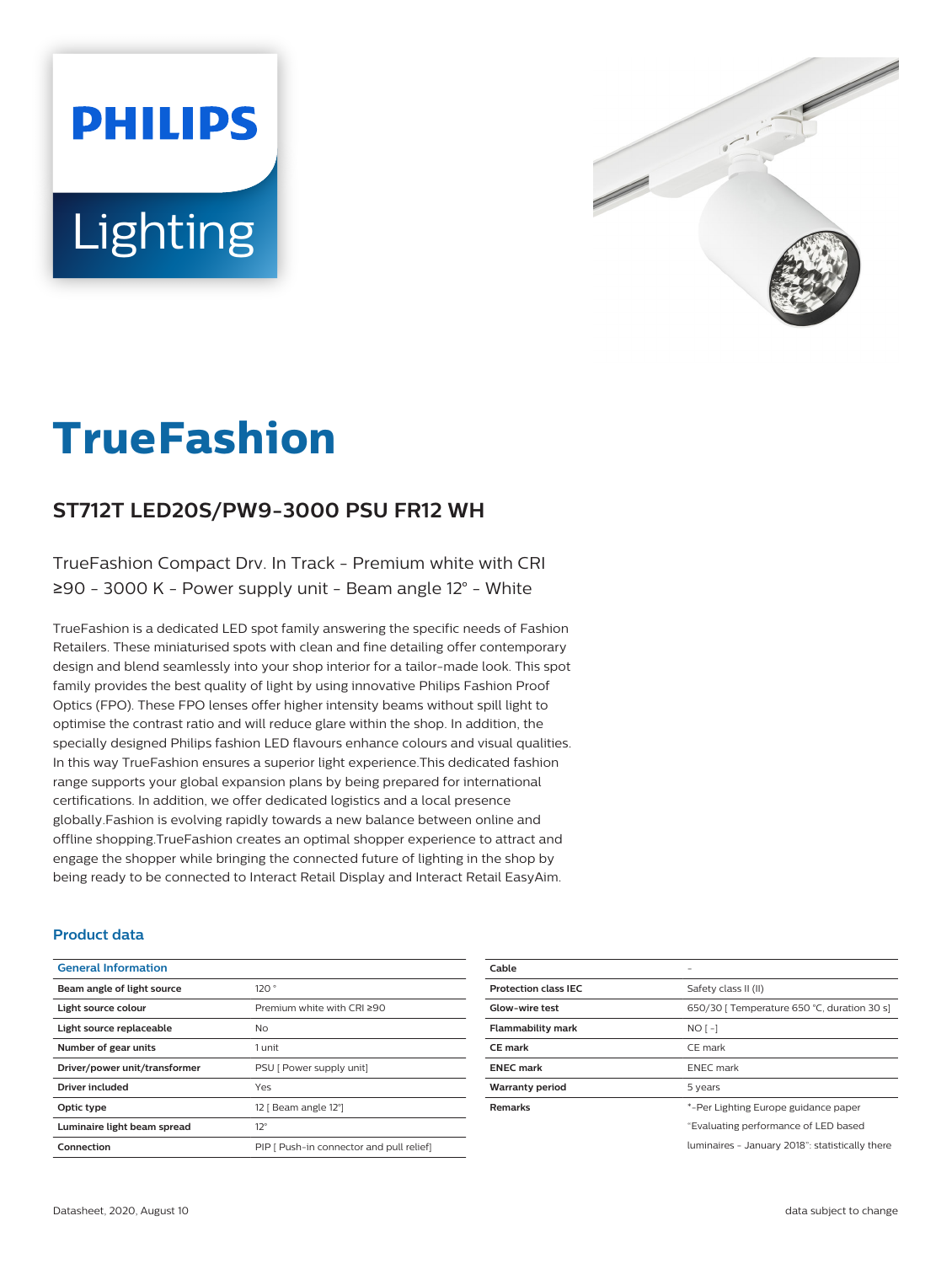# **PHILIPS** Lighting



# **TrueFashion**

# **ST712T LED20S/PW9-3000 PSU FR12 WH**

TrueFashion Compact Drv. In Track - Premium white with CRI ≥90 - 3000 K - Power supply unit - Beam angle 12° - White

TrueFashion is a dedicated LED spot family answering the specific needs of Fashion Retailers. These miniaturised spots with clean and fine detailing offer contemporary design and blend seamlessly into your shop interior for a tailor-made look. This spot family provides the best quality of light by using innovative Philips Fashion Proof Optics (FPO). These FPO lenses offer higher intensity beams without spill light to optimise the contrast ratio and will reduce glare within the shop. In addition, the specially designed Philips fashion LED flavours enhance colours and visual qualities. In this way TrueFashion ensures a superior light experience.This dedicated fashion range supports your global expansion plans by being prepared for international certifications. In addition, we offer dedicated logistics and a local presence globally.Fashion is evolving rapidly towards a new balance between online and offline shopping.TrueFashion creates an optimal shopper experience to attract and engage the shopper while bringing the connected future of lighting in the shop by being ready to be connected to Interact Retail Display and Interact Retail EasyAim.

#### **Product data**

| <b>General Information</b>    |                                          |
|-------------------------------|------------------------------------------|
| Beam angle of light source    | 120°                                     |
| Light source colour           | Premium white with CRI ≥90               |
| Light source replaceable      | No.                                      |
| Number of gear units          | 1 unit                                   |
| Driver/power unit/transformer | PSU [ Power supply unit]                 |
| <b>Driver included</b>        | Yes                                      |
| Optic type                    | 12   Beam angle 12°]                     |
| Luminaire light beam spread   | $12^{\circ}$                             |
| Connection                    | PIP I Push-in connector and pull relief! |

| Cable                       |                                                 |
|-----------------------------|-------------------------------------------------|
| <b>Protection class IEC</b> | Safety class II (II)                            |
| Glow-wire test              | 650/30   Temperature 650 °C, duration 30 s]     |
| <b>Flammability mark</b>    | $NO$ [ -]                                       |
| <b>CE</b> mark              | CE mark                                         |
| <b>ENEC mark</b>            | <b>ENEC</b> mark                                |
| Warranty period             | 5 years                                         |
| <b>Remarks</b>              | *-Per Lighting Europe guidance paper            |
|                             | "Evaluating performance of LED based            |
|                             | luminaires - January 2018": statistically there |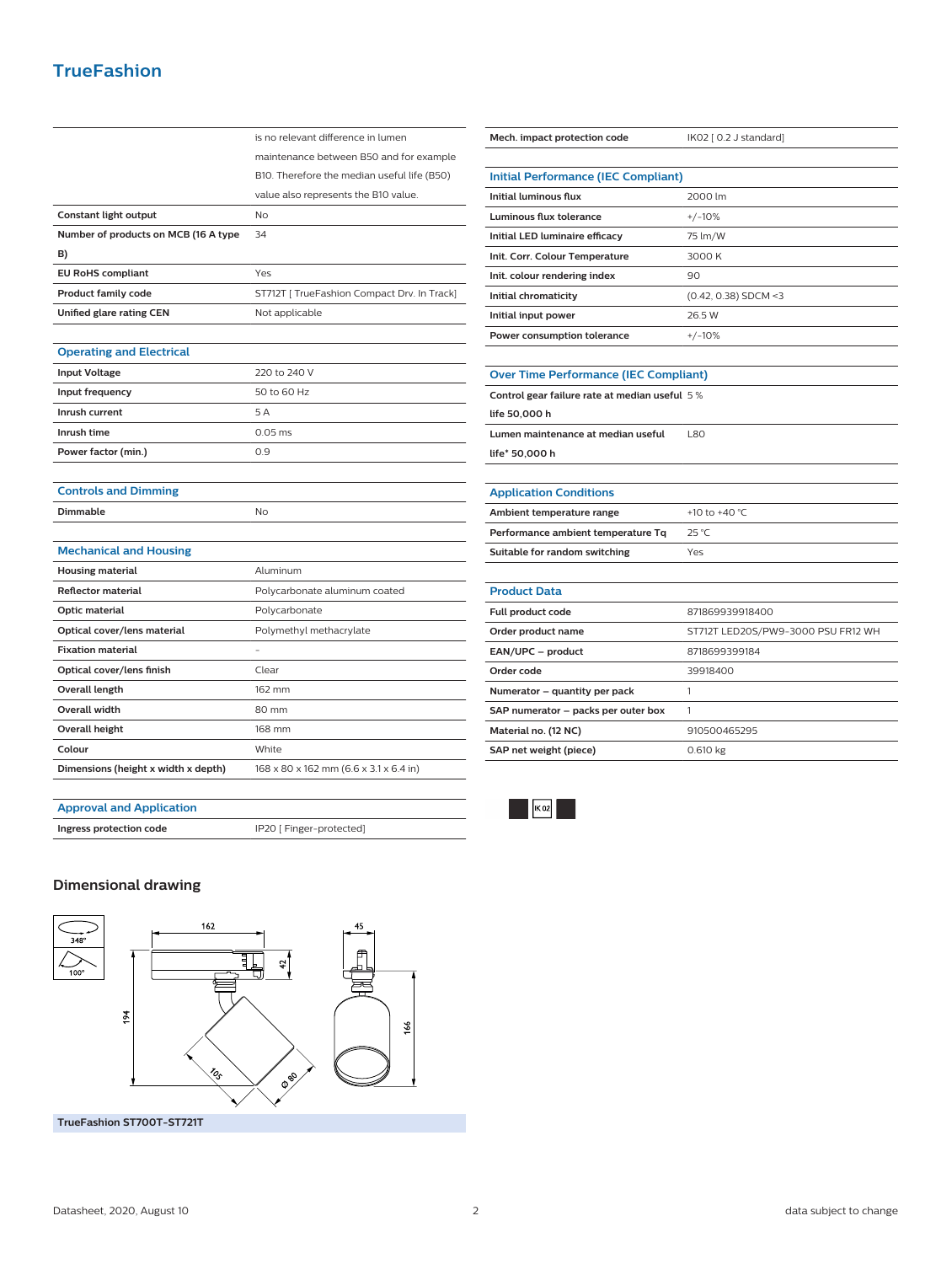# **TrueFashion**

|                                      | is no relevant difference in lumen          |
|--------------------------------------|---------------------------------------------|
|                                      | maintenance between B50 and for example     |
|                                      | B10. Therefore the median useful life (B50) |
|                                      | value also represents the B10 value.        |
| Constant light output                | No                                          |
| Number of products on MCB (16 A type | 34                                          |
| B)                                   |                                             |
| <b>EU RoHS compliant</b>             | Yes                                         |
| <b>Product family code</b>           | ST712T [ TrueFashion Compact Drv. In Track] |
| Unified glare rating CEN             | Not applicable                              |
|                                      |                                             |
| <b>Operating and Electrical</b>      |                                             |
| <b>Input Voltage</b>                 | 220 to 240 V                                |
| Input frequency                      | 50 to 60 Hz                                 |
| Inrush current                       | 5A                                          |
| Inrush time                          | $0.05$ ms                                   |
| Power factor (min.)                  | 0.9                                         |
|                                      |                                             |
| <b>Controls and Dimming</b>          |                                             |
| <b>Dimmable</b>                      | <b>No</b>                                   |
|                                      |                                             |
| <b>Mechanical and Housing</b>        |                                             |
| <b>Housing material</b>              | Aluminum                                    |
| <b>Reflector material</b>            | Polycarbonate aluminum coated               |
| Optic material                       | Polycarbonate                               |
| Optical cover/lens material          | Polymethyl methacrylate                     |
| <b>Fixation material</b>             |                                             |
| Optical cover/lens finish            | Clear                                       |
| Overall length                       | 162 mm                                      |
| Overall width                        | 80 mm                                       |
| <b>Overall height</b>                | 168 mm                                      |
| Colour                               | White                                       |
| Dimensions (height x width x depth)  | 168 x 80 x 162 mm (6.6 x 3.1 x 6.4 in)      |
|                                      |                                             |

| Mech. impact protection code                   | IK02 [ 0.2 J standard]             |  |
|------------------------------------------------|------------------------------------|--|
|                                                |                                    |  |
| <b>Initial Performance (IEC Compliant)</b>     |                                    |  |
| Initial luminous flux                          | 2000 lm                            |  |
| <b>Luminous flux tolerance</b>                 | $+/-10%$                           |  |
| Initial LED luminaire efficacy                 | 75 lm/W                            |  |
| Init. Corr. Colour Temperature                 | 3000 K                             |  |
| Init. colour rendering index                   | 90                                 |  |
| Initial chromaticity                           | $(0.42, 0.38)$ SDCM <3             |  |
| Initial input power                            | 26.5 W                             |  |
| Power consumption tolerance                    | $+/-10%$                           |  |
|                                                |                                    |  |
| <b>Over Time Performance (IEC Compliant)</b>   |                                    |  |
| Control gear failure rate at median useful 5 % |                                    |  |
| life 50,000 h                                  |                                    |  |
| Lumen maintenance at median useful             | L80                                |  |
| life* 50,000 h                                 |                                    |  |
|                                                |                                    |  |
| <b>Application Conditions</b>                  |                                    |  |
| Ambient temperature range                      | +10 to +40 °C                      |  |
| Performance ambient temperature Tq             | 25 °C                              |  |
| Suitable for random switching                  | Yes                                |  |
|                                                |                                    |  |
| <b>Product Data</b>                            |                                    |  |
| <b>Full product code</b>                       | 871869939918400                    |  |
| Order product name                             | ST712T LED20S/PW9-3000 PSU FR12 WH |  |
| EAN/UPC - product                              | 8718699399184                      |  |
| Order code                                     | 39918400                           |  |
| Numerator - quantity per pack                  | 1                                  |  |
| SAP numerator - packs per outer box            | 1                                  |  |
| Material no. (12 NC)                           | 910500465295                       |  |
| SAP net weight (piece)                         | 0.610 kg                           |  |

#### **Approval and Application**

**Ingress protection code IP20** [ Finger-protected]

### **Dimensional drawing**



 $\mathbb{R}$   $\mathbb{R}$  02

i,